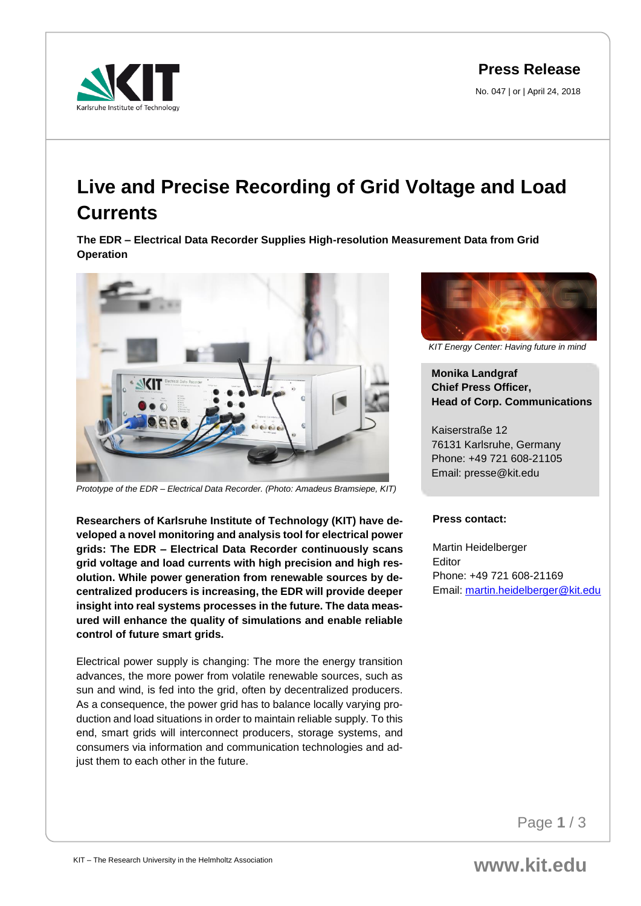**Press Release**

No. 047 | or | April 24, 2018



## **Live and Precise Recording of Grid Voltage and Load Currents**

**The EDR – Electrical Data Recorder Supplies High-resolution Measurement Data from Grid Operation** 



*Prototype of the EDR – Electrical Data Recorder. (Photo: Amadeus Bramsiepe, KIT)*

**Researchers of Karlsruhe Institute of Technology (KIT) have developed a novel monitoring and analysis tool for electrical power grids: The EDR – Electrical Data Recorder continuously scans grid voltage and load currents with high precision and high resolution. While power generation from renewable sources by decentralized producers is increasing, the EDR will provide deeper insight into real systems processes in the future. The data measured will enhance the quality of simulations and enable reliable control of future smart grids.** 

Electrical power supply is changing: The more the energy transition advances, the more power from volatile renewable sources, such as sun and wind, is fed into the grid, often by decentralized producers. As a consequence, the power grid has to balance locally varying production and load situations in order to maintain reliable supply. To this end, smart grids will interconnect producers, storage systems, and consumers via information and communication technologies and adjust them to each other in the future.



*KIT Energy Center: Having future in mind*

## **Monika Landgraf Chief Press Officer, Head of Corp. Communications**

Kaiserstraße 12 76131 Karlsruhe, Germany Phone: +49 721 608-21105 Email: presse@kit.edu

## **Press contact:**

Martin Heidelberger Editor Phone: +49 721 608-21169 Email: [martin.heidelberger@kit.edu](mailto:martin.heidelberger@kit.edu) 

Page **1** / 3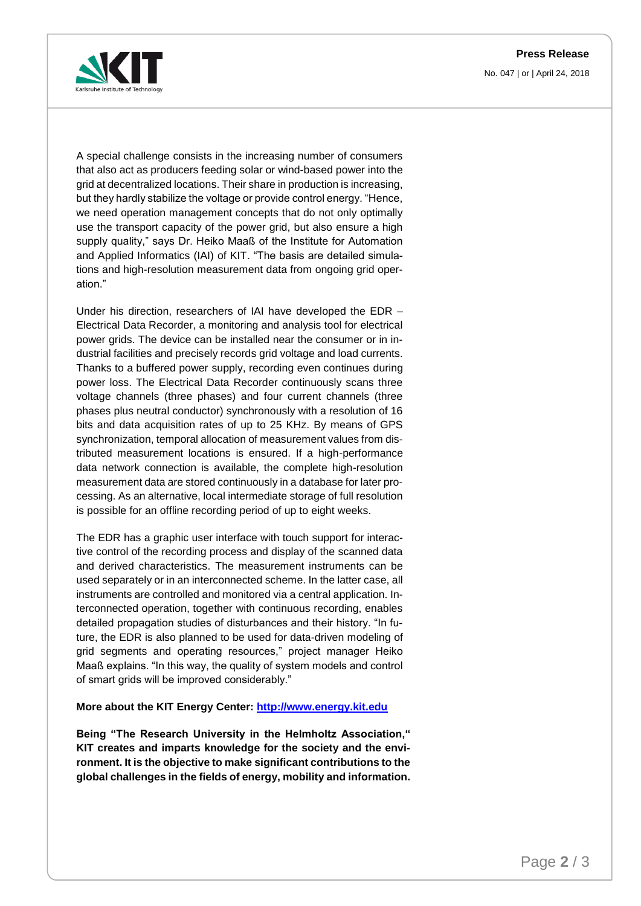**Press Release**

No. 047 | or | April 24, 2018



A special challenge consists in the increasing number of consumers that also act as producers feeding solar or wind-based power into the grid at decentralized locations. Their share in production is increasing, but they hardly stabilize the voltage or provide control energy. "Hence, we need operation management concepts that do not only optimally use the transport capacity of the power grid, but also ensure a high supply quality," says Dr. Heiko Maaß of the Institute for Automation and Applied Informatics (IAI) of KIT. "The basis are detailed simulations and high-resolution measurement data from ongoing grid operation."

Under his direction, researchers of IAI have developed the EDR – Electrical Data Recorder, a monitoring and analysis tool for electrical power grids. The device can be installed near the consumer or in industrial facilities and precisely records grid voltage and load currents. Thanks to a buffered power supply, recording even continues during power loss. The Electrical Data Recorder continuously scans three voltage channels (three phases) and four current channels (three phases plus neutral conductor) synchronously with a resolution of 16 bits and data acquisition rates of up to 25 KHz. By means of GPS synchronization, temporal allocation of measurement values from distributed measurement locations is ensured. If a high-performance data network connection is available, the complete high-resolution measurement data are stored continuously in a database for later processing. As an alternative, local intermediate storage of full resolution is possible for an offline recording period of up to eight weeks.

The EDR has a graphic user interface with touch support for interactive control of the recording process and display of the scanned data and derived characteristics. The measurement instruments can be used separately or in an interconnected scheme. In the latter case, all instruments are controlled and monitored via a central application. Interconnected operation, together with continuous recording, enables detailed propagation studies of disturbances and their history. "In future, the EDR is also planned to be used for data-driven modeling of grid segments and operating resources," project manager Heiko Maaß explains. "In this way, the quality of system models and control of smart grids will be improved considerably."

## **More about the KIT Energy Center: [http://www.energy.kit.edu](http://www.energy.kit.edu/)**

**Being "The Research University in the Helmholtz Association," KIT creates and imparts knowledge for the society and the environment. It is the objective to make significant contributions to the global challenges in the fields of energy, mobility and information.**